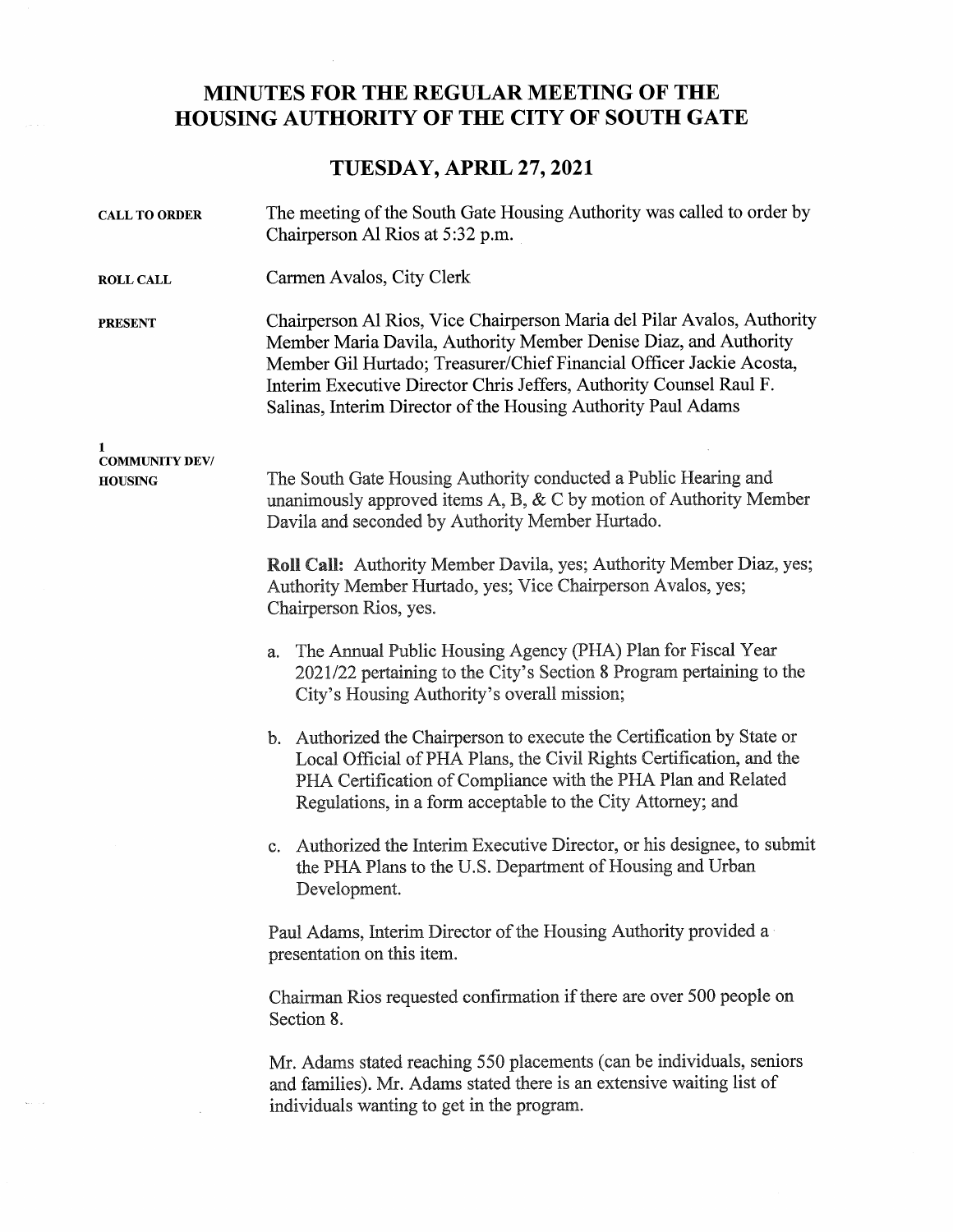## MINUTES FOR THE REGULAR MEETING OF THE HOUSING AUTHORITY OF THE CITY OF SOUTH GATE

## TUESDAY, APRIL27,2021

| The meeting of the South Gate Housing Authority was called to order by<br>Chairperson Al Rios at 5:32 p.m.                                                                                                                                                                                                                                                  |
|-------------------------------------------------------------------------------------------------------------------------------------------------------------------------------------------------------------------------------------------------------------------------------------------------------------------------------------------------------------|
| Carmen Avalos, City Clerk                                                                                                                                                                                                                                                                                                                                   |
| Chairperson Al Rios, Vice Chairperson Maria del Pilar Avalos, Authority<br>Member Maria Davila, Authority Member Denise Diaz, and Authority<br>Member Gil Hurtado; Treasurer/Chief Financial Officer Jackie Acosta,<br>Interim Executive Director Chris Jeffers, Authority Counsel Raul F.<br>Salinas, Interim Director of the Housing Authority Paul Adams |
| The South Gate Housing Authority conducted a Public Hearing and<br>unanimously approved items A, B, & C by motion of Authority Member<br>Davila and seconded by Authority Member Hurtado.                                                                                                                                                                   |
| <b>Roll Call:</b> Authority Member Davila, yes; Authority Member Diaz, yes;<br>Authority Member Hurtado, yes; Vice Chairperson Avalos, yes;<br>Chairperson Rios, yes.                                                                                                                                                                                       |
| a. The Annual Public Housing Agency (PHA) Plan for Fiscal Year<br>2021/22 pertaining to the City's Section 8 Program pertaining to the<br>City's Housing Authority's overall mission;                                                                                                                                                                       |
| b. Authorized the Chairperson to execute the Certification by State or<br>Local Official of PHA Plans, the Civil Rights Certification, and the<br>PHA Certification of Compliance with the PHA Plan and Related<br>Regulations, in a form acceptable to the City Attorney; and                                                                              |
| Authorized the Interim Executive Director, or his designee, to submit<br>C.<br>the PHA Plans to the U.S. Department of Housing and Urban<br>Development.                                                                                                                                                                                                    |
| Paul Adams, Interim Director of the Housing Authority provided a<br>presentation on this item.                                                                                                                                                                                                                                                              |
| Chairman Rios requested confirmation if there are over 500 people on<br>Section 8.                                                                                                                                                                                                                                                                          |
| Mr. Adams stated reaching 550 placements (can be individuals, seniors<br>and families). Mr. Adams stated there is an extensive waiting list of<br>individuals wanting to get in the program.                                                                                                                                                                |
|                                                                                                                                                                                                                                                                                                                                                             |